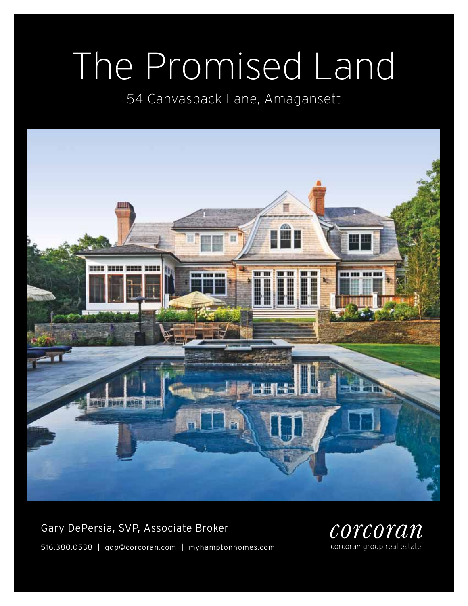# The Promised Land

54 Canvasback Lane, Amagansett



Gary DePersia, SVP, Associate Broker 516.380.0538 | gdp@corcoran.com | myhamptonhomes.com

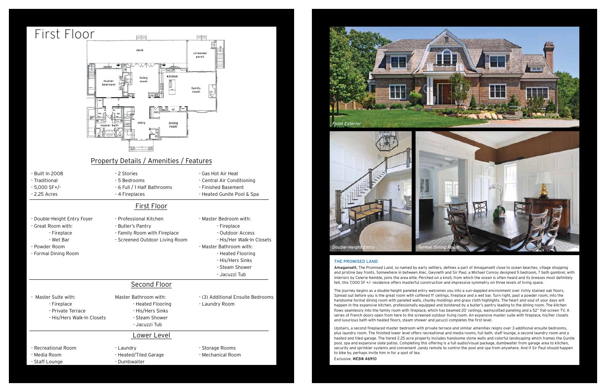#### The Promised Land

Amagansett. The Promised Land, so named by early settlers, defines a part of Amagansett close to ocean beaches, village shopping and pristine bay fronts. Somewhere in between Alec, Gwyneth and Sir Paul, a Michael Conroy designed 5 bedroom, 7 bath gambrel, with interiors by Celerie Kemble, joins the area elite. Perched on a knoll, from which the ocean is often heard and its breezes most definitely felt, this 7,000 SF +/- residence offers masterful construction and impressive symmetry on three levels of living space.

The journey begins as a double-height paneled entry welcomes you into a sun-dappled environment over richly stained oak floors. Spread out before you is the great room with coffered 11' ceilings, fireplace and a wet bar. Turn right, past a powder room, into the handsome formal dining room with paneled walls, chunky moldings and grass cloth highlights. The heart and soul of your days will happen in the expansive kitchen, professionally equipped and bolstered by a butler's pantry leading to the dining room. The kitchen flows seamlessly into the family room with fireplace, which has beamed 20' ceilings, wainscotted paneling and a 52" flat-screen TV. A series of French doors open from here to the screened outdoor living room. An expansive master suite with fireplace, his/her closets and luxurious bath with heated floors, steam shower and jacuzzi completes the first level.

Upstairs, a second fireplaced master bedroom with private terrace and similar amenities reigns over 3 additional ensuite bedrooms, plus laundry room. The finished lower level offers recreational and media rooms, full bath, staff lounge, a second laundry room and a heated and tiled garage. The tiered 2.25 acre property includes handsome stone walls and colorful landscaping which frames the Gunite pool, spa and expansive slate patios. Completing this offering is a full audio/visual package, dumbwaiter from garage area to kitchen, security and sprinkler systems and convenient Jandy remote to control the pool and spa from anywhere. And if Sir Paul should happen to bike by, perhaps invite him in for a spot of tea.

Exclusive. WEB# 46910

- Staff Lounge

- Dumbwaiter



#### First Floor





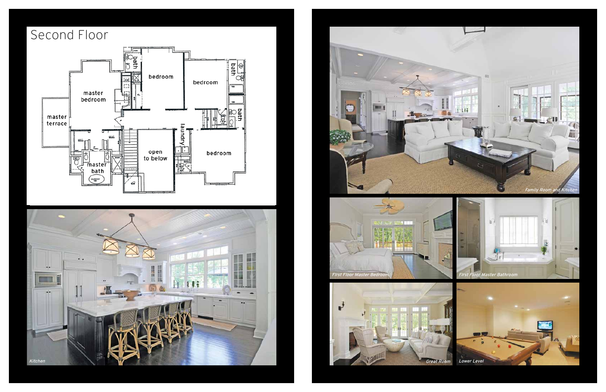









## Second Floor

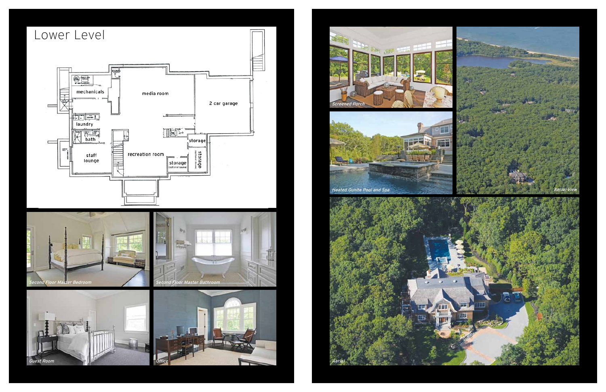